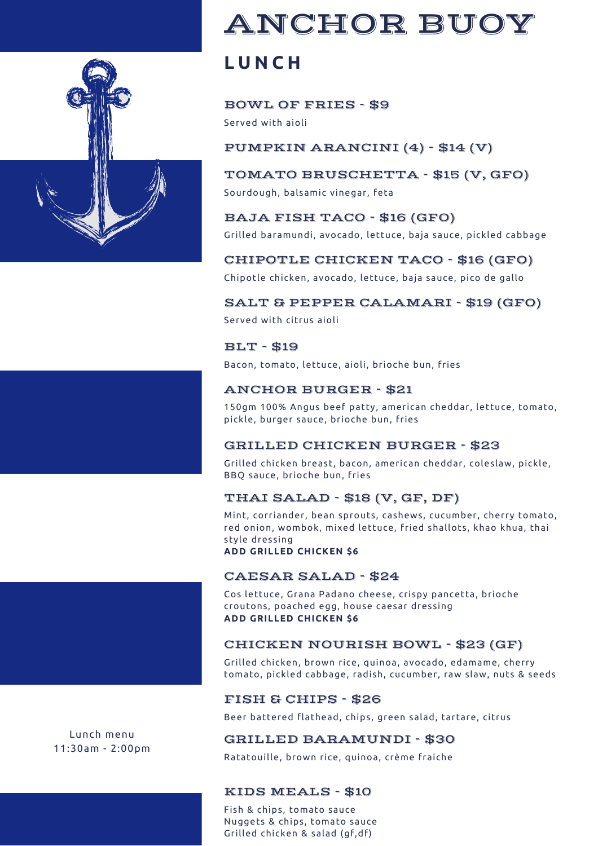

## ANCHOR BUOY

## **L U N C H**

#### BOWL OF FRIES - \$9

Served with aioli

#### PUMPKIN ARANCINI (4) - \$14 (V)

## TOMATO [BRUSCHETTA](https://www.bing.com/ck/a?!&&p=ac8bb57cb3b9a66e8d000a9353557954dd4434e765b4c6cd29861e28eb074acaJmltdHM9MTY1NDU2ODMyMyZpZ3VpZD0yYmI5OGFhZS1mYjViLTQ0ZjYtYWFmMS01ZjM1ZDU4YmQ3YTQmaW5zaWQ9NTE4MA&ptn=3&fclid=27055f10-e608-11ec-89c9-48381c050232&u=a1aHR0cHM6Ly93d3cuYWxscmVjaXBlcy5jb20vcmVjaXBlcy8xNjgzMy9hcHBldGl6ZXJzLWFuZC1zbmFja3MvYnJ1c2NoZXR0YS8&ntb=1) - \$15 (V, GFO)

Sourdough, balsamic vinegar, feta

#### BAJA FISH TACO - \$16 (GFO)

Grilled baramundi, avocado, lettuce, baja sauce, pickled cabbage

#### CHIPOTLE CHICKEN TACO - \$16 (GFO)

Chipotle chicken, avocado, lettuce, baja sauce, pico de gallo

#### SALT & PEPPER CALAMARI - \$19 (GFO)

Served with citrus aioli

#### BLT - \$19

Bacon, tomato, lettuce, aioli, brioche bun, fries

#### ANCHOR BURGER - \$21

150gm 100% Angus beef patty, american cheddar, lettuce, tomato, pickle, burger sauce, brioche bun, fries

#### GRILLED CHICKEN BURGER - \$23

Grilled chicken breast, bacon, american cheddar, coleslaw, pickle, BBQ sauce, brioche bun, fries

#### THAI SALAD - \$18 (V, GF, DF)

Mint, corriander, bean sprouts, cashews, cucumber, cherry tomato, red onion, wombok, mixed lettuce, fried shallots, khao khua, thai style dressing **ADD GRILLED CHICKEN \$6**

### CAESAR SALAD - \$24

Cos lettuce, Grana Padano cheese, crispy pancetta, brioche croutons, poached egg, house caesar dressing **ADD GRILLED CHICKEN \$6**

#### CHICKEN NOURISH BOWL - \$23 (GF)

Grilled chicken, brown rice, quinoa, avocado, edamame, cherry tomato, pickled cabbage, radish, cucumber, raw slaw, nuts & seeds

#### FISH & CHIPS - \$26

Beer battered flathead, chips, green salad, tartare, citrus

#### GRILLED BARAMUNDI - \$30

Ratatouille, brown rice, quinoa, crème fraiche

#### KIDS MEALS - \$10

Fish & chips, tomato sauce Nuggets & chips, tomato sauce Grilled chicken & salad (gf,df)

Lunch menu 11:30am - 2:00pm